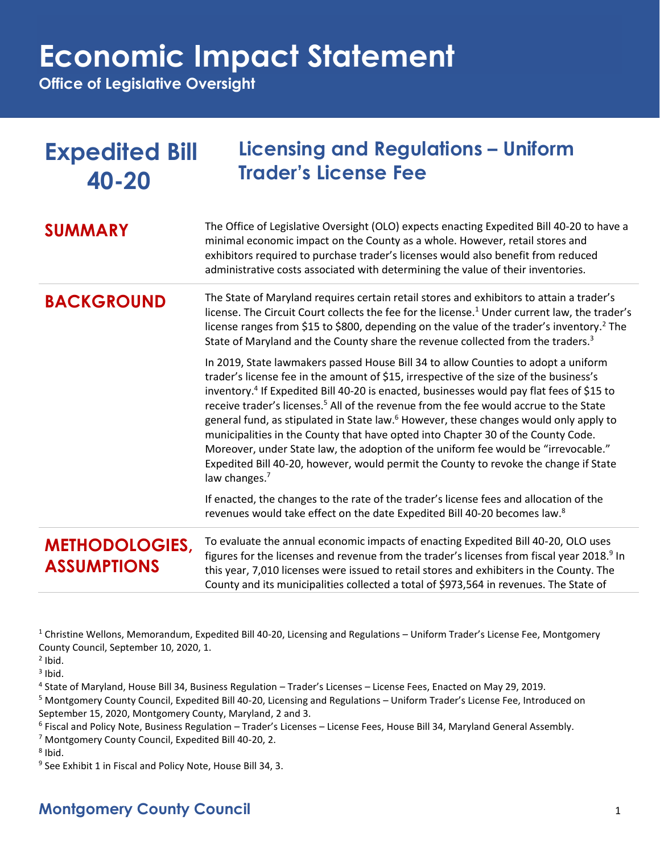**Office of Legislative Oversight**

| <b>Expedited Bill</b><br>40-20              | <b>Licensing and Regulations - Uniform</b><br><b>Trader's License Fee</b>                                                                                                                                                                                                                                                                                                                                                                                                                                                                                                                                                                                                                                                                                                             |
|---------------------------------------------|---------------------------------------------------------------------------------------------------------------------------------------------------------------------------------------------------------------------------------------------------------------------------------------------------------------------------------------------------------------------------------------------------------------------------------------------------------------------------------------------------------------------------------------------------------------------------------------------------------------------------------------------------------------------------------------------------------------------------------------------------------------------------------------|
| <b>SUMMARY</b>                              | The Office of Legislative Oversight (OLO) expects enacting Expedited Bill 40-20 to have a<br>minimal economic impact on the County as a whole. However, retail stores and<br>exhibitors required to purchase trader's licenses would also benefit from reduced<br>administrative costs associated with determining the value of their inventories.                                                                                                                                                                                                                                                                                                                                                                                                                                    |
| <b>BACKGROUND</b>                           | The State of Maryland requires certain retail stores and exhibitors to attain a trader's<br>license. The Circuit Court collects the fee for the license. <sup>1</sup> Under current law, the trader's<br>license ranges from \$15 to \$800, depending on the value of the trader's inventory. <sup>2</sup> The<br>State of Maryland and the County share the revenue collected from the traders. <sup>3</sup>                                                                                                                                                                                                                                                                                                                                                                         |
|                                             | In 2019, State lawmakers passed House Bill 34 to allow Counties to adopt a uniform<br>trader's license fee in the amount of \$15, irrespective of the size of the business's<br>inventory. <sup>4</sup> If Expedited Bill 40-20 is enacted, businesses would pay flat fees of \$15 to<br>receive trader's licenses. <sup>5</sup> All of the revenue from the fee would accrue to the State<br>general fund, as stipulated in State law. <sup>6</sup> However, these changes would only apply to<br>municipalities in the County that have opted into Chapter 30 of the County Code.<br>Moreover, under State law, the adoption of the uniform fee would be "irrevocable."<br>Expedited Bill 40-20, however, would permit the County to revoke the change if State<br>law changes. $7$ |
|                                             | If enacted, the changes to the rate of the trader's license fees and allocation of the<br>revenues would take effect on the date Expedited Bill 40-20 becomes law. <sup>8</sup>                                                                                                                                                                                                                                                                                                                                                                                                                                                                                                                                                                                                       |
| <b>METHODOLOGIES,</b><br><b>ASSUMPTIONS</b> | To evaluate the annual economic impacts of enacting Expedited Bill 40-20, OLO uses<br>figures for the licenses and revenue from the trader's licenses from fiscal year 2018. <sup>9</sup> In<br>this year, 7,010 licenses were issued to retail stores and exhibiters in the County. The<br>County and its municipalities collected a total of \$973,564 in revenues. The State of                                                                                                                                                                                                                                                                                                                                                                                                    |

<sup>1</sup> Christine Wellons, Memorandum, Expedited Bill 40-20, Licensing and Regulations – Uniform Trader's License Fee, Montgomery County Council, September 10, 2020, 1.

 $<sup>2</sup>$  Ibid.</sup>

 $3$  Ibid.

4 State of Maryland, House Bill 34, Business Regulation – Trader's Licenses – License Fees, Enacted on May 29, 2019.

<sup>5</sup> Montgomery County Council, Expedited Bill 40-20, Licensing and Regulations – Uniform Trader's License Fee, Introduced on September 15, 2020, Montgomery County, Maryland, 2 and 3.

6 Fiscal and Policy Note, Business Regulation – Trader's Licenses – License Fees, House Bill 34, Maryland General Assembly.

<sup>7</sup> Montgomery County Council, Expedited Bill 40-20, 2.

<sup>8</sup> Ibid.

<sup>9</sup> See Exhibit 1 in Fiscal and Policy Note, House Bill 34, 3.

### **Montgomery County Council** 1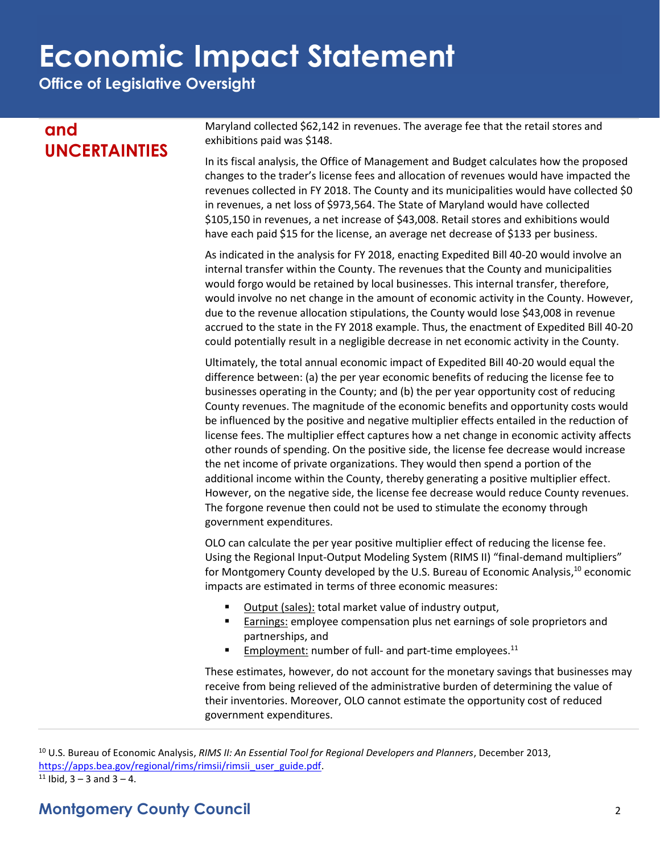**Office of Legislative Oversight**

### **and UNCERTAINTIES**

Maryland collected \$62,142 in revenues. The average fee that the retail stores and exhibitions paid was \$148.

In its fiscal analysis, the Office of Management and Budget calculates how the proposed changes to the trader's license fees and allocation of revenues would have impacted the revenues collected in FY 2018. The County and its municipalities would have collected \$0 in revenues, a net loss of \$973,564. The State of Maryland would have collected \$105,150 in revenues, a net increase of \$43,008. Retail stores and exhibitions would have each paid \$15 for the license, an average net decrease of \$133 per business.

As indicated in the analysis for FY 2018, enacting Expedited Bill 40-20 would involve an internal transfer within the County. The revenues that the County and municipalities would forgo would be retained by local businesses. This internal transfer, therefore, would involve no net change in the amount of economic activity in the County. However, due to the revenue allocation stipulations, the County would lose \$43,008 in revenue accrued to the state in the FY 2018 example. Thus, the enactment of Expedited Bill 40-20 could potentially result in a negligible decrease in net economic activity in the County.

Ultimately, the total annual economic impact of Expedited Bill 40-20 would equal the difference between: (a) the per year economic benefits of reducing the license fee to businesses operating in the County; and (b) the per year opportunity cost of reducing County revenues. The magnitude of the economic benefits and opportunity costs would be influenced by the positive and negative multiplier effects entailed in the reduction of license fees. The multiplier effect captures how a net change in economic activity affects other rounds of spending. On the positive side, the license fee decrease would increase the net income of private organizations. They would then spend a portion of the additional income within the County, thereby generating a positive multiplier effect. However, on the negative side, the license fee decrease would reduce County revenues. The forgone revenue then could not be used to stimulate the economy through government expenditures.

OLO can calculate the per year positive multiplier effect of reducing the license fee. Using the Regional Input-Output Modeling System (RIMS II) "final-demand multipliers" for Montgomery County developed by the U.S. Bureau of Economic Analysis,<sup>10</sup> economic impacts are estimated in terms of three economic measures:

- Output (sales): total market value of industry output,
- **Earnings:** employee compensation plus net earnings of sole proprietors and partnerships, and
- **Employment: number of full- and part-time employees.**<sup>11</sup>

These estimates, however, do not account for the monetary savings that businesses may receive from being relieved of the administrative burden of determining the value of their inventories. Moreover, OLO cannot estimate the opportunity cost of reduced government expenditures.

<sup>10</sup> U.S. Bureau of Economic Analysis, *RIMS II: An Essential Tool for Regional Developers and Planners*, December 2013, [https://apps.bea.gov/regional/rims/rimsii/rimsii\\_user\\_guide.pdf.](https://apps.bea.gov/regional/rims/rimsii/rimsii_user_guide.pdf)  $11$  Ibid, 3 – 3 and 3 – 4.

### **Montgomery County Council** 2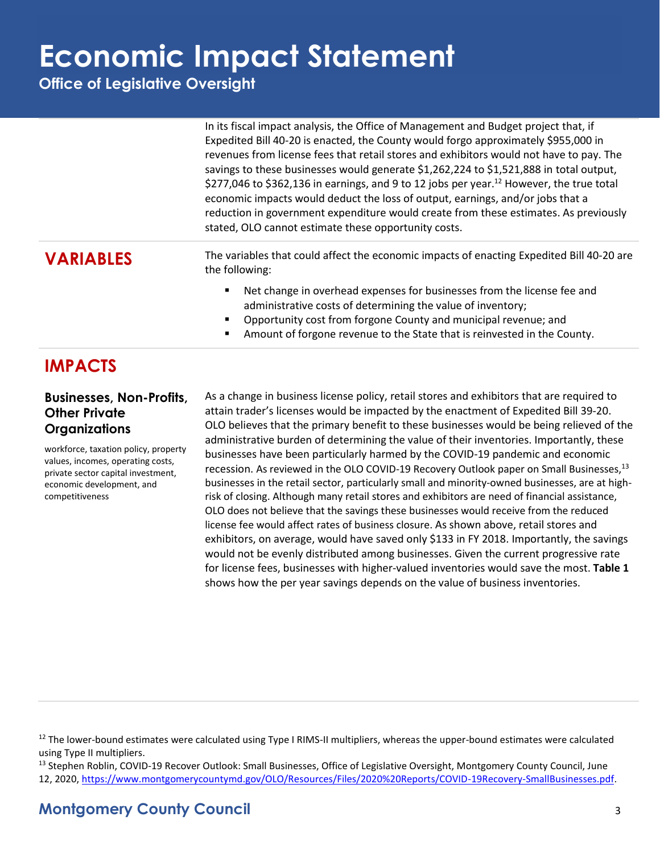**Office of Legislative Oversight**

| In its fiscal impact analysis, the Office of Management and Budget project that, if                  |
|------------------------------------------------------------------------------------------------------|
| Expedited Bill 40-20 is enacted, the County would forgo approximately \$955,000 in                   |
| revenues from license fees that retail stores and exhibitors would not have to pay. The              |
| savings to these businesses would generate \$1,262,224 to \$1,521,888 in total output,               |
| \$277,046 to \$362,136 in earnings, and 9 to 12 jobs per year. <sup>12</sup> However, the true total |
| economic impacts would deduct the loss of output, earnings, and/or jobs that a                       |
| reduction in government expenditure would create from these estimates. As previously                 |
|                                                                                                      |
|                                                                                                      |

**VARIABLES** The variables that could affect the economic impacts of enacting Expedited Bill 40-20 are the following:

- Net change in overhead expenses for businesses from the license fee and administrative costs of determining the value of inventory;
- Opportunity cost from forgone County and municipal revenue; and
- Amount of forgone revenue to the State that is reinvested in the County.

### **IMPACTS**

#### **Businesses, Non-Profits, Other Private Organizations**

workforce, taxation policy, property values, incomes, operating costs, private sector capital investment, economic development, and competitiveness

As a change in business license policy, retail stores and exhibitors that are required to attain trader's licenses would be impacted by the enactment of Expedited Bill 39-20. OLO believes that the primary benefit to these businesses would be being relieved of the administrative burden of determining the value of their inventories. Importantly, these businesses have been particularly harmed by the COVID-19 pandemic and economic recession. As reviewed in the OLO COVID-19 Recovery Outlook paper on Small Businesses,<sup>13</sup> businesses in the retail sector, particularly small and minority-owned businesses, are at highrisk of closing. Although many retail stores and exhibitors are need of financial assistance, OLO does not believe that the savings these businesses would receive from the reduced license fee would affect rates of business closure. As shown above, retail stores and exhibitors, on average, would have saved only \$133 in FY 2018. Importantly, the savings would not be evenly distributed among businesses. Given the current progressive rate for license fees, businesses with higher-valued inventories would save the most. **Table 1** shows how the per year savings depends on the value of business inventories.

<sup>13</sup> Stephen Roblin, COVID-19 Recover Outlook: Small Businesses, Office of Legislative Oversight, Montgomery County Council, June 12, 2020, [https://www.montgomerycountymd.gov/OLO/Resources/Files/2020%20Reports/COVID-19Recovery-SmallBusinesses.pdf.](https://www.montgomerycountymd.gov/OLO/Resources/Files/2020%20Reports/COVID-19Recovery-SmallBusinesses.pdf)

 $12$  The lower-bound estimates were calculated using Type I RIMS-II multipliers, whereas the upper-bound estimates were calculated using Type II multipliers.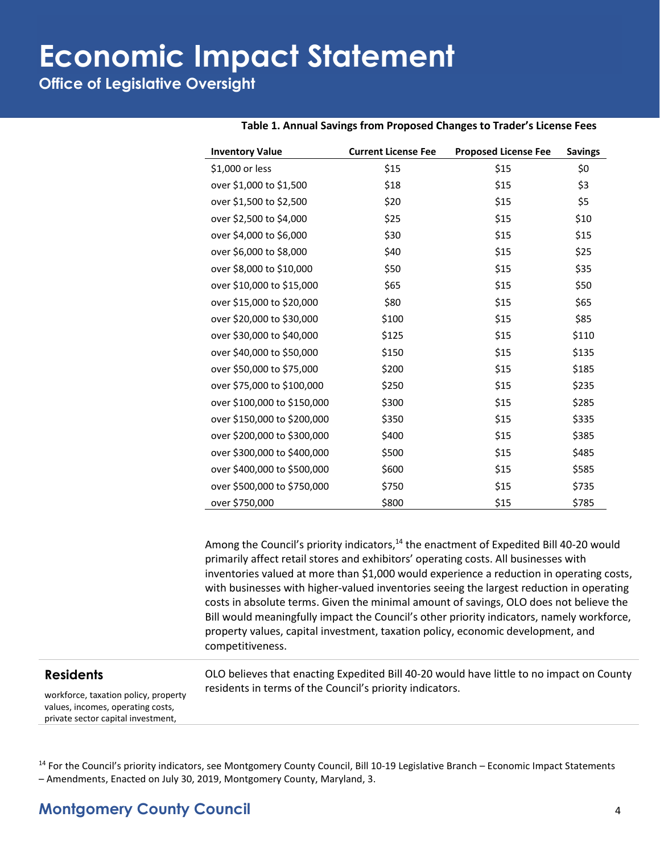**Office of Legislative Oversight**

| <b>Inventory Value</b>      | <b>Current License Fee</b> | <b>Proposed License Fee</b> | <b>Savings</b> |
|-----------------------------|----------------------------|-----------------------------|----------------|
| \$1,000 or less             | \$15                       | \$15                        | \$0            |
| over \$1,000 to \$1,500     | \$18                       | \$15                        | \$3            |
| over \$1,500 to \$2,500     | \$20                       | \$15                        | \$5            |
| over \$2,500 to \$4,000     | \$25                       | \$15                        | \$10           |
| over \$4,000 to \$6,000     | \$30                       | \$15                        | \$15           |
| over \$6,000 to \$8,000     | \$40                       | \$15                        | \$25           |
| over \$8,000 to \$10,000    | \$50                       | \$15                        | \$35           |
| over \$10,000 to \$15,000   | \$65                       | \$15                        | \$50           |
| over \$15,000 to \$20,000   | \$80                       | \$15                        | \$65           |
| over \$20,000 to \$30,000   | \$100                      | \$15                        | \$85           |
| over \$30,000 to \$40,000   | \$125                      | \$15                        | \$110          |
| over \$40,000 to \$50,000   | \$150                      | \$15                        | \$135          |
| over \$50,000 to \$75,000   | \$200                      | \$15                        | \$185          |
| over \$75,000 to \$100,000  | \$250                      | \$15                        | \$235          |
| over \$100,000 to \$150,000 | \$300                      | \$15                        | \$285          |
| over \$150,000 to \$200,000 | \$350                      | \$15                        | \$335          |
| over \$200,000 to \$300,000 | \$400                      | \$15                        | \$385          |
| over \$300,000 to \$400,000 | \$500                      | \$15                        | \$485          |
| over \$400,000 to \$500,000 | \$600                      | \$15                        | \$585          |
| over \$500,000 to \$750,000 | \$750                      | \$15                        | \$735          |
| over \$750,000              | \$800                      | \$15                        | \$785          |

#### **Table 1. Annual Savings from Proposed Changes to Trader's License Fees**

Among the Council's priority indicators,<sup>14</sup> the enactment of Expedited Bill 40-20 would primarily affect retail stores and exhibitors' operating costs. All businesses with inventories valued at more than \$1,000 would experience a reduction in operating costs, with businesses with higher-valued inventories seeing the largest reduction in operating costs in absolute terms. Given the minimal amount of savings, OLO does not believe the Bill would meaningfully impact the Council's other priority indicators, namely workforce, property values, capital investment, taxation policy, economic development, and competitiveness.

#### **Residents**

workforce, taxation policy, property values, incomes, operating costs, private sector capital investment,

OLO believes that enacting Expedited Bill 40-20 would have little to no impact on County residents in terms of the Council's priority indicators.

<sup>14</sup> For the Council's priority indicators, see Montgomery County Council, Bill 10-19 Legislative Branch – Economic Impact Statements – Amendments, Enacted on July 30, 2019, Montgomery County, Maryland, 3.

#### **Montgomery County Council** 4